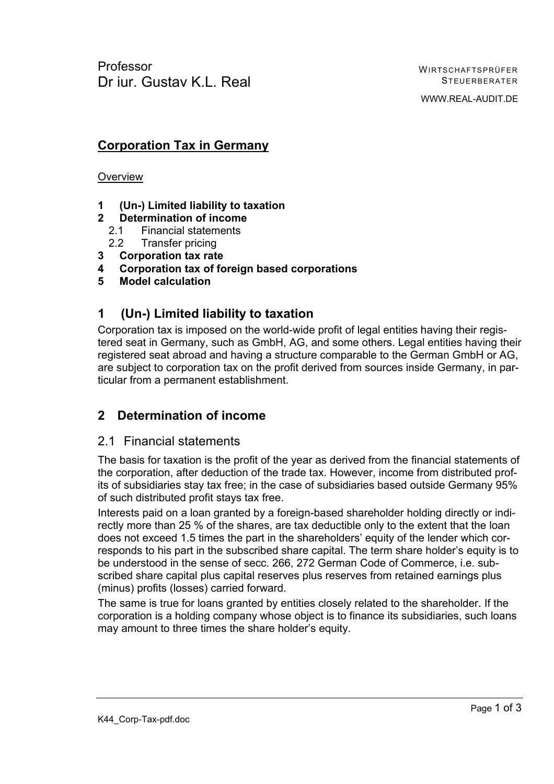WWW.REAL-AUDIT.DE

## **Corporation Tax in Germany**

#### **Overview**

- **1 (Un-) Limited liability to taxation**
- **2 Determination of income**
	- 2.1 Financial statements
- 2.2 Transfer pricing
- **3 Corporation tax rate**
- **4 Corporation tax of foreign based corporations**
- **5 Model calculation**

#### **1 (Un-) Limited liability to taxation**

Corporation tax is imposed on the world-wide profit of legal entities having their registered seat in Germany, such as GmbH, AG, and some others. Legal entities having their registered seat abroad and having a structure comparable to the German GmbH or AG, are subject to corporation tax on the profit derived from sources inside Germany, in particular from a permanent establishment.

### **2 Determination of income**

#### 2.1 Financial statements

The basis for taxation is the profit of the year as derived from the financial statements of the corporation, after deduction of the trade tax. However, income from distributed profits of subsidiaries stay tax free; in the case of subsidiaries based outside Germany 95% of such distributed profit stays tax free.

Interests paid on a loan granted by a foreign-based shareholder holding directly or indirectly more than 25 % of the shares, are tax deductible only to the extent that the loan does not exceed 1.5 times the part in the shareholders' equity of the lender which corresponds to his part in the subscribed share capital. The term share holder's equity is to be understood in the sense of secc. 266, 272 German Code of Commerce, i.e. subscribed share capital plus capital reserves plus reserves from retained earnings plus (minus) profits (losses) carried forward.

The same is true for loans granted by entities closely related to the shareholder. If the corporation is a holding company whose object is to finance its subsidiaries, such loans may amount to three times the share holder's equity.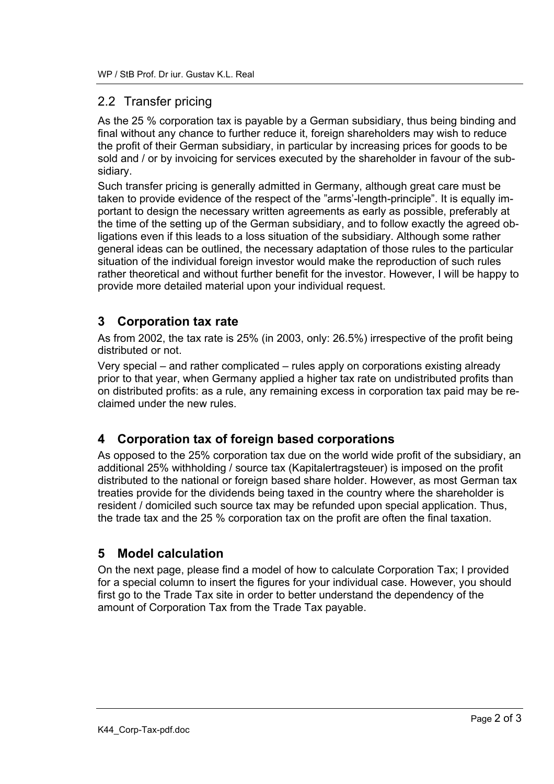### 2.2 Transfer pricing

As the 25 % corporation tax is payable by a German subsidiary, thus being binding and final without any chance to further reduce it, foreign shareholders may wish to reduce the profit of their German subsidiary, in particular by increasing prices for goods to be sold and / or by invoicing for services executed by the shareholder in favour of the subsidiary.

Such transfer pricing is generally admitted in Germany, although great care must be taken to provide evidence of the respect of the "arms'-length-principle". It is equally important to design the necessary written agreements as early as possible, preferably at the time of the setting up of the German subsidiary, and to follow exactly the agreed obligations even if this leads to a loss situation of the subsidiary. Although some rather general ideas can be outlined, the necessary adaptation of those rules to the particular situation of the individual foreign investor would make the reproduction of such rules rather theoretical and without further benefit for the investor. However, I will be happy to provide more detailed material upon your individual request.

## **3 Corporation tax rate**

As from 2002, the tax rate is 25% (in 2003, only: 26.5%) irrespective of the profit being distributed or not.

Very special – and rather complicated – rules apply on corporations existing already prior to that year, when Germany applied a higher tax rate on undistributed profits than on distributed profits: as a rule, any remaining excess in corporation tax paid may be reclaimed under the new rules.

## **4 Corporation tax of foreign based corporations**

As opposed to the 25% corporation tax due on the world wide profit of the subsidiary, an additional 25% withholding / source tax (Kapitalertragsteuer) is imposed on the profit distributed to the national or foreign based share holder. However, as most German tax treaties provide for the dividends being taxed in the country where the shareholder is resident / domiciled such source tax may be refunded upon special application. Thus, the trade tax and the 25 % corporation tax on the profit are often the final taxation.

## **5 Model calculation**

On the next page, please find a model of how to calculate Corporation Tax; I provided for a special column to insert the figures for your individual case. However, you should first go to the Trade Tax site in order to better understand the dependency of the amount of Corporation Tax from the Trade Tax payable.